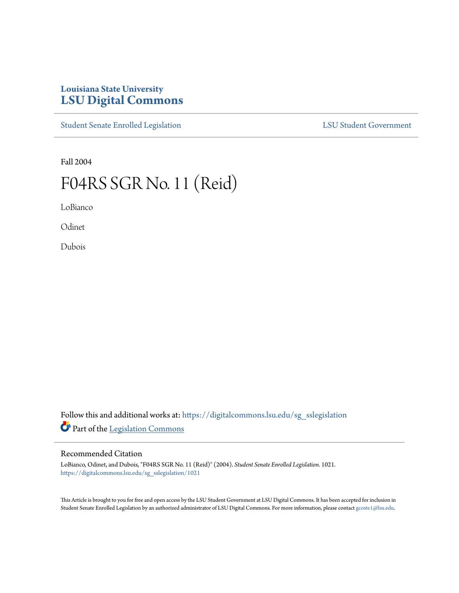## **Louisiana State University [LSU Digital Commons](https://digitalcommons.lsu.edu?utm_source=digitalcommons.lsu.edu%2Fsg_sslegislation%2F1021&utm_medium=PDF&utm_campaign=PDFCoverPages)**

[Student Senate Enrolled Legislation](https://digitalcommons.lsu.edu/sg_sslegislation?utm_source=digitalcommons.lsu.edu%2Fsg_sslegislation%2F1021&utm_medium=PDF&utm_campaign=PDFCoverPages) [LSU Student Government](https://digitalcommons.lsu.edu/sg?utm_source=digitalcommons.lsu.edu%2Fsg_sslegislation%2F1021&utm_medium=PDF&utm_campaign=PDFCoverPages)

Fall 2004

## F04RS SGR No. 11 (Reid)

LoBianco

**Odinet** 

Dubois

Follow this and additional works at: [https://digitalcommons.lsu.edu/sg\\_sslegislation](https://digitalcommons.lsu.edu/sg_sslegislation?utm_source=digitalcommons.lsu.edu%2Fsg_sslegislation%2F1021&utm_medium=PDF&utm_campaign=PDFCoverPages) Part of the [Legislation Commons](http://network.bepress.com/hgg/discipline/859?utm_source=digitalcommons.lsu.edu%2Fsg_sslegislation%2F1021&utm_medium=PDF&utm_campaign=PDFCoverPages)

## Recommended Citation

LoBianco, Odinet, and Dubois, "F04RS SGR No. 11 (Reid)" (2004). *Student Senate Enrolled Legislation*. 1021. [https://digitalcommons.lsu.edu/sg\\_sslegislation/1021](https://digitalcommons.lsu.edu/sg_sslegislation/1021?utm_source=digitalcommons.lsu.edu%2Fsg_sslegislation%2F1021&utm_medium=PDF&utm_campaign=PDFCoverPages)

This Article is brought to you for free and open access by the LSU Student Government at LSU Digital Commons. It has been accepted for inclusion in Student Senate Enrolled Legislation by an authorized administrator of LSU Digital Commons. For more information, please contact [gcoste1@lsu.edu.](mailto:gcoste1@lsu.edu)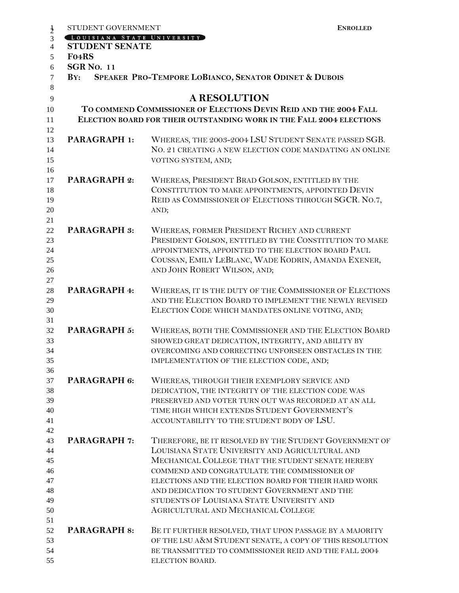|                | STUDENT GOVERNMENT                                                | <b>ENROLLED</b>                                                      |  |
|----------------|-------------------------------------------------------------------|----------------------------------------------------------------------|--|
| $\frac{1}{2}$  | LOUISIANA STATE UNIVERSITY                                        |                                                                      |  |
| $\overline{4}$ | <b>STUDENT SENATE</b>                                             |                                                                      |  |
| 5              | F04RS                                                             |                                                                      |  |
| 6              | <b>SGR No. 11</b>                                                 |                                                                      |  |
| 7              | SPEAKER PRO-TEMPORE LOBIANCO, SENATOR ODINET & DUBOIS<br>BY:      |                                                                      |  |
| 8              |                                                                   |                                                                      |  |
| 9              |                                                                   | <b>A RESOLUTION</b>                                                  |  |
|                |                                                                   |                                                                      |  |
| 10             | TO COMMEND COMMISSIONER OF ELECTIONS DEVIN REID AND THE 2004 FALL |                                                                      |  |
| 11             |                                                                   | ELECTION BOARD FOR THEIR OUTSTANDING WORK IN THE FALL 2004 ELECTIONS |  |
| 12             |                                                                   |                                                                      |  |
| 13             | <b>PARAGRAPH 1:</b>                                               | WHEREAS, THE 2003-2004 LSU STUDENT SENATE PASSED SGB.                |  |
| 14             |                                                                   | NO. 21 CREATING A NEW ELECTION CODE MANDATING AN ONLINE              |  |
| 15             |                                                                   | VOTING SYSTEM, AND;                                                  |  |
| 16             |                                                                   |                                                                      |  |
| 17             | <b>PARAGRAPH 2:</b>                                               | WHEREAS, PRESIDENT BRAD GOLSON, ENTITLED BY THE                      |  |
| 18             |                                                                   | CONSTITUTION TO MAKE APPOINTMENTS, APPOINTED DEVIN                   |  |
| 19             |                                                                   | REID AS COMMISSIONER OF ELECTIONS THROUGH SGCR. NO.7,                |  |
| 20             |                                                                   | AND;                                                                 |  |
| 21             |                                                                   |                                                                      |  |
| 22             | <b>PARAGRAPH 3:</b>                                               | WHEREAS, FORMER PRESIDENT RICHEY AND CURRENT                         |  |
| 23             |                                                                   | PRESIDENT GOLSON, ENTITLED BY THE CONSTITUTION TO MAKE               |  |
| 24             |                                                                   | APPOINTMENTS, APPOINTED TO THE ELECTION BOARD PAUL                   |  |
| 25             |                                                                   | COUSSAN, EMILY LEBLANC, WADE KODRIN, AMANDA EXENER,                  |  |
| 26             |                                                                   | AND JOHN ROBERT WILSON, AND;                                         |  |
| 27             |                                                                   |                                                                      |  |
| 28             | PARAGRAPH 4:                                                      | WHEREAS, IT IS THE DUTY OF THE COMMISSIONER OF ELECTIONS             |  |
| 29             |                                                                   | AND THE ELECTION BOARD TO IMPLEMENT THE NEWLY REVISED                |  |
| 30             |                                                                   | ELECTION CODE WHICH MANDATES ONLINE VOTING, AND;                     |  |
| 31             |                                                                   |                                                                      |  |
| 32             | <b>PARAGRAPH 5:</b>                                               | WHEREAS, BOTH THE COMMISSIONER AND THE ELECTION BOARD                |  |
| 33             |                                                                   | SHOWED GREAT DEDICATION, INTEGRITY, AND ABILITY BY                   |  |
| 34             |                                                                   | OVERCOMING AND CORRECTING UNFORSEEN OBSTACLES IN THE                 |  |
| 35             |                                                                   | IMPLEMENTATION OF THE ELECTION CODE, AND;                            |  |
| 36             |                                                                   |                                                                      |  |
| 37             | PARAGRAPH 6:                                                      | WHEREAS, THROUGH THEIR EXEMPLORY SERVICE AND                         |  |
| 38             |                                                                   | DEDICATION, THE INTEGRITY OF THE ELECTION CODE WAS                   |  |
| 39             |                                                                   | PRESERVED AND VOTER TURN OUT WAS RECORDED AT AN ALL                  |  |
| 40             |                                                                   | TIME HIGH WHICH EXTENDS STUDENT GOVERNMENT'S                         |  |
| 41             |                                                                   | ACCOUNTABILITY TO THE STUDENT BODY OF LSU.                           |  |
| 42             |                                                                   |                                                                      |  |
| 43             | <b>PARAGRAPH 7:</b>                                               | THEREFORE, BE IT RESOLVED BY THE STUDENT GOVERNMENT OF               |  |
| 44             |                                                                   | LOUISIANA STATE UNIVERSITY AND AGRICULTURAL AND                      |  |
| 45             |                                                                   | MECHANICAL COLLEGE THAT THE STUDENT SENATE HEREBY                    |  |
| 46             |                                                                   | COMMEND AND CONGRATULATE THE COMMISSIONER OF                         |  |
| 47             |                                                                   | ELECTIONS AND THE ELECTION BOARD FOR THEIR HARD WORK                 |  |
| 48             |                                                                   | AND DEDICATION TO STUDENT GOVERNMENT AND THE                         |  |
| 49             |                                                                   | STUDENTS OF LOUISIANA STATE UNIVERSITY AND                           |  |
| 50             |                                                                   | AGRICULTURAL AND MECHANICAL COLLEGE                                  |  |
| 51             |                                                                   |                                                                      |  |
| 52             | <b>PARAGRAPH 8:</b>                                               | BE IT FURTHER RESOLVED, THAT UPON PASSAGE BY A MAJORITY              |  |
| 53             |                                                                   | OF THE LSU A&M STUDENT SENATE, A COPY OF THIS RESOLUTION             |  |
| 54             |                                                                   | BE TRANSMITTED TO COMMISSIONER REID AND THE FALL 2004                |  |
| 55             |                                                                   | ELECTION BOARD.                                                      |  |